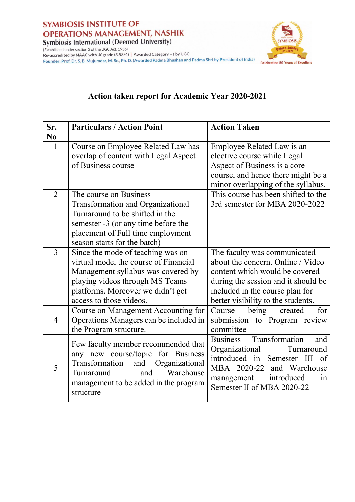

**TYMBIOSIS Celebrating 50 Years of Excellenc** 

(Established under section 3 of the UGC Act, 1956) (Established under section 3 of the OGC ACC, 1936)<br>Re-accredited by NAAC with 'A' grade (3.58/4) | Awarded Category – I by UGC Founder: Prof. Dr. S. B. Mujumdar, M. Sc., Ph. D. (Awarded Padma Bhushan and Padma Shri by President of India)

## **Action taken report for Academic Year 2020-2021**

| Sr.            | <b>Particulars / Action Point</b>                                                                                                                                                                                   | <b>Action Taken</b>                                                                                                                                                                                                 |
|----------------|---------------------------------------------------------------------------------------------------------------------------------------------------------------------------------------------------------------------|---------------------------------------------------------------------------------------------------------------------------------------------------------------------------------------------------------------------|
| N <sub>0</sub> |                                                                                                                                                                                                                     |                                                                                                                                                                                                                     |
| $\mathbf{1}$   | Course on Employee Related Law has<br>overlap of content with Legal Aspect<br>of Business course                                                                                                                    | Employee Related Law is an<br>elective course while Legal<br>Aspect of Business is a core<br>course, and hence there might be a<br>minor overlapping of the syllabus.                                               |
| $\overline{2}$ | The course on Business<br>Transformation and Organizational<br>Turnaround to be shifted in the<br>semester -3 (or any time before the<br>placement of Full time employment<br>season starts for the batch)          | This course has been shifted to the<br>3rd semester for MBA 2020-2022                                                                                                                                               |
| 3              | Since the mode of teaching was on<br>virtual mode, the course of Financial<br>Management syllabus was covered by<br>playing videos through MS Teams<br>platforms. Moreover we didn't get<br>access to those videos. | The faculty was communicated<br>about the concern. Online / Video<br>content which would be covered<br>during the session and it should be<br>included in the course plan for<br>better visibility to the students. |
| $\overline{4}$ | Course on Management Accounting for<br>Operations Managers can be included in<br>the Program structure.                                                                                                             | being<br>for<br>Course<br>created<br>submission to Program review<br>committee                                                                                                                                      |
| 5              | Few faculty member recommended that<br>any new course/topic<br>for Business<br>Transformation<br>and<br>Organizational<br>Warehouse<br>Turnaround<br>and<br>management to be added in the program<br>structure      | Transformation<br><b>Business</b><br>and<br>Organizational<br>Turnaround<br>introduced in Semester III<br>of<br>MBA 2020-22 and Warehouse<br>management introduced<br>in<br>Semester II of MBA 2020-22              |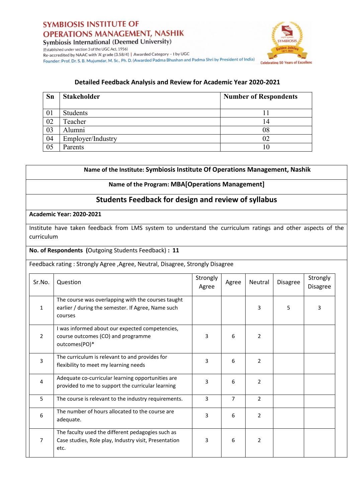



(Established under section 3 of the UGC Act, 1956) Re-accredited by NAAC with 'A' grade (3.58/4) | Awarded Category - I by UGC Founder: Prof. Dr. S. B. Mujumdar, M. Sc., Ph. D. (Awarded Padma Bhushan and Padma Shri by President of India)

# **Detailed Feedback Analysis and Review for Academic Year 2020-2021**

| <b>Sn</b> | <b>Stakeholder</b> | <b>Number of Respondents</b> |
|-----------|--------------------|------------------------------|
| 01        | Students           |                              |
| 02        | Teacher            | 14                           |
| 03        | Alumni             | 08                           |
| 04        | Employer/Industry  | 02                           |
| 05        | Parents            | 10                           |

|                         | Name of the Institute: Symbiosis Institute Of Operations Management, Nashik                                         |                   |                |                |                 |                             |  |
|-------------------------|---------------------------------------------------------------------------------------------------------------------|-------------------|----------------|----------------|-----------------|-----------------------------|--|
|                         | Name of the Program: MBA[Operations Management]                                                                     |                   |                |                |                 |                             |  |
|                         | <b>Students Feedback for design and review of syllabus</b>                                                          |                   |                |                |                 |                             |  |
|                         | <b>Academic Year: 2020-2021</b>                                                                                     |                   |                |                |                 |                             |  |
| curriculum              | Institute have taken feedback from LMS system to understand the curriculum ratings and other aspects of the         |                   |                |                |                 |                             |  |
|                         | No. of Respondents (Outgoing Students Feedback) : 11                                                                |                   |                |                |                 |                             |  |
|                         | Feedback rating: Strongly Agree, Agree, Neutral, Disagree, Strongly Disagree                                        |                   |                |                |                 |                             |  |
| Sr.No.                  | Question                                                                                                            | Strongly<br>Agree | Agree          | Neutral        | <b>Disagree</b> | Strongly<br><b>Disagree</b> |  |
| $\mathbf{1}$            | The course was overlapping with the courses taught<br>earlier / during the semester. If Agree, Name such<br>courses |                   |                | 3              | 5               | 3                           |  |
| $\overline{2}$          | I was informed about our expected competencies,<br>course outcomes (CO) and programme<br>outcomes(PO)*              | 3                 | 6              | $\overline{2}$ |                 |                             |  |
| $\overline{3}$          | The curriculum is relevant to and provides for<br>flexibility to meet my learning needs                             | 3                 | 6              | $\overline{2}$ |                 |                             |  |
| $\overline{\mathbf{4}}$ | Adequate co-curricular learning opportunities are<br>provided to me to support the curricular learning              | 3                 | 6              | $\overline{2}$ |                 |                             |  |
| 5                       | The course is relevant to the industry requirements.                                                                | 3                 | $\overline{7}$ | $\overline{2}$ |                 |                             |  |
| 6                       | The number of hours allocated to the course are<br>adequate.                                                        | 3                 | 6              | $\overline{2}$ |                 |                             |  |
| $\overline{7}$          | The faculty used the different pedagogies such as<br>Case studies, Role play, Industry visit, Presentation<br>etc.  | 3                 | 6              | $\overline{2}$ |                 |                             |  |

P.A. Ratma Dr. Ratna Paluri Dr. Katha Paluri<br>Deputy Director<br>Symbiosis Institute of<br>Operations Management<br>Nashik - 422008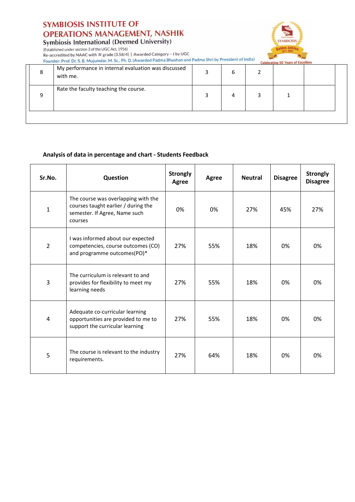# **SYMBIOSIS INSTITUTE OF OPERATIONS MANAGEMENT, NASHIK**

Symbiosis International (Deemed University)



(Established under section 3 of the UGC Act, 1956) Re-accredited by NAAC with 'A' grade (3.58/4) | Awarded Category – I by UGC<br>Re-accredited by NAAC with 'A' grade (3.58/4) | Awarded Category – I by UGC<br>Founder: Prof. Dr. S. B. Mujumdar, M. Sc., Ph. D. (Awarded Padma Bhush

|   | POUTUCE, PTOI, DI, J, D, Mujumuar, M, J, M, D, M, Mar aga Paama Dinaman Anno |   | <b>Celebrating 50 Years of Excellenc</b> |  |
|---|------------------------------------------------------------------------------|---|------------------------------------------|--|
| 8 | My performance in internal evaluation was discussed<br>with me.              | h |                                          |  |
| q | Rate the faculty teaching the course.                                        |   |                                          |  |
|   |                                                                              |   |                                          |  |

#### **Analysis of data in percentage and chart - Students Feedback**

| Sr.No.         | Question                                                                                                               | <b>Strongly</b><br>Agree | <b>Agree</b> | <b>Neutral</b> | <b>Disagree</b> | <b>Strongly</b><br><b>Disagree</b> |
|----------------|------------------------------------------------------------------------------------------------------------------------|--------------------------|--------------|----------------|-----------------|------------------------------------|
| $\mathbf{1}$   | The course was overlapping with the<br>courses taught earlier / during the<br>semester. If Agree, Name such<br>courses | 0%                       | 0%           | 27%            | 45%             | 27%                                |
| $\overline{2}$ | I was informed about our expected<br>competencies, course outcomes (CO)<br>and programme outcomes(PO)*                 | 27%                      | 55%          | 18%            | 0%              | 0%                                 |
| 3              | The curriculum is relevant to and<br>provides for flexibility to meet my<br>learning needs                             | 27%                      | 55%          | 18%            | 0%              | 0%                                 |
| $\overline{4}$ | Adequate co-curricular learning<br>opportunities are provided to me to<br>support the curricular learning              | 27%                      | 55%          | 18%            | 0%              | 0%                                 |
| 5              | The course is relevant to the industry<br>requirements.                                                                | 27%                      | 64%          | 18%            | 0%              | 0%                                 |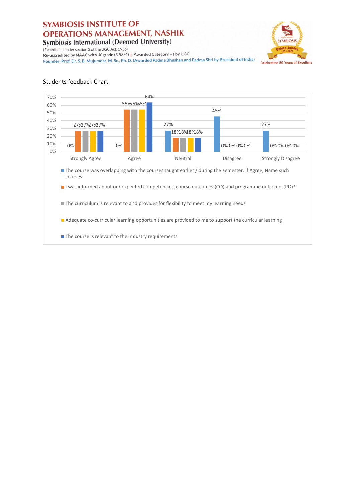(Established under section 3 of the UGC Act, 1956)



Re-accredited by NAAC with 'A' grade (3.58/4) | Awarded Category - I by UGC Founder: Prof. Dr. S. B. Mujumdar, M. Sc., Ph. D. (Awarded Padma Bhushan and Padma Shri by President of India)

#### **Students feedback Chart**



P.A. Ratma Dr. Ratna Paluri **Deputy Director** Symbiosis Institute of **Operations Management** Nashik-422008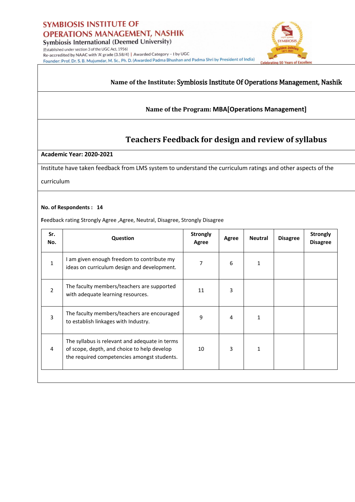

Re-accredited by NAAC with 'A' grade (3.58/4) | Awarded Category - I by UGC Founder: Prof. Dr. S. B. Mujumdar, M. Sc., Ph. D. (Awarded Padma Bhushan and Padma Shri by President of India) rating 50 Years

#### **Name of the Institute:** Symbiosis Institute Of Operations Management, Nashik

**TYMBIOSE** 

#### **Name of the Program: MBA[Operations Management]**

### **Teachers Feedback for design and review of syllabus**

#### **Academic Year: 2020-2021**

Institute have taken feedback from LMS system to understand the curriculum ratings and other aspects of the

curriculum

#### **No. of Respondents : 14**

Feedback rating Strongly Agree, Agree, Neutral, Disagree, Strongly Disagree

| Sr.<br>No.     | Question                                                                                                                                     | <b>Strongly</b><br>Agree | Agree | <b>Neutral</b> | <b>Disagree</b> | <b>Strongly</b><br><b>Disagree</b> |
|----------------|----------------------------------------------------------------------------------------------------------------------------------------------|--------------------------|-------|----------------|-----------------|------------------------------------|
| 1              | I am given enough freedom to contribute my<br>ideas on curriculum design and development.                                                    | 7                        | 6     | 1              |                 |                                    |
| $\mathfrak{p}$ | The faculty members/teachers are supported<br>with adequate learning resources.                                                              | 11                       | 3     |                |                 |                                    |
| $\overline{3}$ | The faculty members/teachers are encouraged<br>to establish linkages with Industry.                                                          | 9                        | 4     | 1              |                 |                                    |
| 4              | The syllabus is relevant and adequate in terms<br>of scope, depth, and choice to help develop<br>the required competencies amongst students. | 10                       | 3     | 1              |                 |                                    |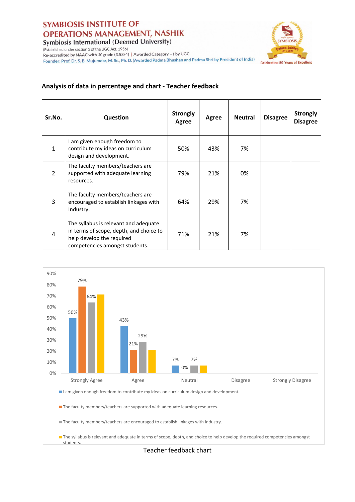(Established under section 3 of the UGC Act, 1956)



Re-accredited by NAAC with 'A' grade (3.58/4) | Awarded Category - I by UGC Founder: Prof. Dr. S. B. Mujumdar, M. Sc., Ph. D. (Awarded Padma Bhushan and Padma Shri by President of India)

### **Analysis of data in percentage and chart - Teacher feedback**

| Sr.No.         | <b>Question</b>                                                                                                                                 | <b>Strongly</b><br>Agree | Agree | <b>Neutral</b> | <b>Disagree</b> | <b>Strongly</b><br><b>Disagree</b> |
|----------------|-------------------------------------------------------------------------------------------------------------------------------------------------|--------------------------|-------|----------------|-----------------|------------------------------------|
| 1              | I am given enough freedom to<br>contribute my ideas on curriculum<br>design and development.                                                    | 50%                      | 43%   | 7%             |                 |                                    |
| $\overline{2}$ | The faculty members/teachers are<br>supported with adequate learning<br>resources.                                                              | 79%                      | 21%   | 0%             |                 |                                    |
| 3              | The faculty members/teachers are<br>encouraged to establish linkages with<br>Industry.                                                          | 64%                      | 29%   | 7%             |                 |                                    |
| 4              | The syllabus is relevant and adequate<br>in terms of scope, depth, and choice to<br>help develop the required<br>competencies amongst students. | 71%                      | 21%   | 7%             |                 |                                    |



The syllabus is relevant and adequate in terms of scope, depth, and choice to help develop the required competencies amongst students.

Teacher feedback chart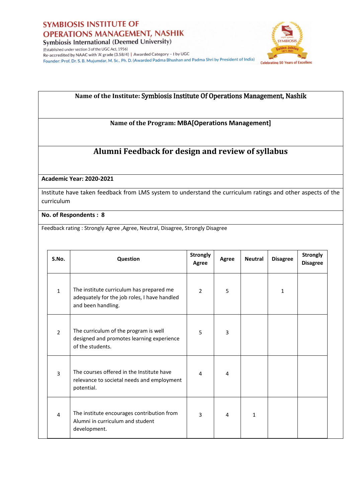



(Established under section 3 of the UGC Act, 1956) Re-accredited by NAAC with 'A' grade (3.58/4) | Awarded Category - I by UGC Founder: Prof. Dr. S. B. Mujumdar, M. Sc., Ph. D. (Awarded Padma Bhushan and Padma Shri by President of India)

### **Name of the Institute:** Symbiosis Institute Of Operations Management, Nashik

**Name of the Program: MBA[Operations Management]**

## **Alumni Feedback for design and review of syllabus**

**Academic Year: 2020-2021**

Institute have taken feedback from LMS system to understand the curriculum ratings and other aspects of the curriculum

**No. of Respondents : 8**

Feedback rating : Strongly Agree, Agree, Neutral, Disagree, Strongly Disagree

| S.No.          | Question                                                                                                       | <b>Strongly</b><br>Agree | <b>Agree</b>   | <b>Neutral</b> | <b>Disagree</b> | <b>Strongly</b><br><b>Disagree</b> |
|----------------|----------------------------------------------------------------------------------------------------------------|--------------------------|----------------|----------------|-----------------|------------------------------------|
| $\mathbf{1}$   | The institute curriculum has prepared me<br>adequately for the job roles, I have handled<br>and been handling. | $\overline{2}$           | 5              |                | 1               |                                    |
| $\overline{2}$ | The curriculum of the program is well<br>designed and promotes learning experience<br>of the students.         | 5                        | 3              |                |                 |                                    |
| $\overline{3}$ | The courses offered in the Institute have<br>relevance to societal needs and employment<br>potential.          | 4                        | $\overline{4}$ |                |                 |                                    |
| 4              | The institute encourages contribution from<br>Alumni in curriculum and student<br>development.                 | 3                        | 4              | $\mathbf{1}$   |                 |                                    |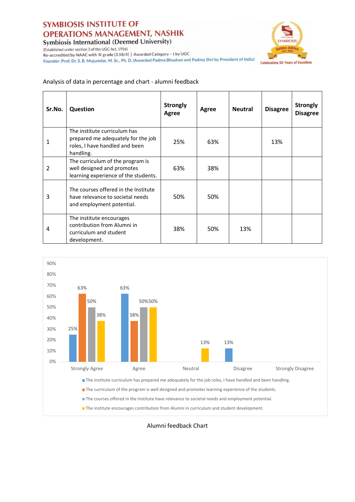(Established under section 3 of the UGC Act, 1956)

**YMBIOSIS Celebrating 50 Years of Excellence** 

Re-accredited by NAAC with 'A' grade (3.58/4) | Awarded Category - I by UGC Founder: Prof. Dr. S. B. Mujumdar, M. Sc., Ph. D. (Awarded Padma Bhushan and Padma Shri by President of India)

#### Analysis of data in percentage and chart - alumni feedback

| Sr.No.         | <b>Question</b>                                                                                                   | <b>Strongly</b><br>Agree | Agree | <b>Neutral</b> | <b>Disagree</b> | <b>Strongly</b><br><b>Disagree</b> |
|----------------|-------------------------------------------------------------------------------------------------------------------|--------------------------|-------|----------------|-----------------|------------------------------------|
| 1              | The institute curriculum has<br>prepared me adequately for the job<br>roles, I have handled and been<br>handling. | 25%                      | 63%   |                | 13%             |                                    |
| $\overline{2}$ | The curriculum of the program is<br>well designed and promotes<br>learning experience of the students.            | 63%                      | 38%   |                |                 |                                    |
| 3              | The courses offered in the Institute<br>have relevance to societal needs<br>and employment potential.             | 50%                      | 50%   |                |                 |                                    |
| 4              | The institute encourages<br>contribution from Alumni in<br>curriculum and student<br>development.                 | 38%                      | 50%   | 13%            |                 |                                    |



Alumni feedback Chart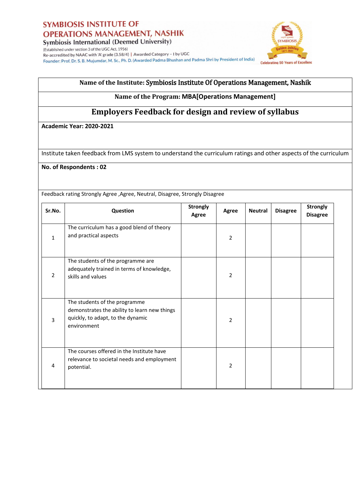

**Symbiosis International (Deemed University)** (Established under section 3 of the UGC Act, 1956)

Re-accredited by NAAC with 'A' grade (3.58/4) | Awarded Category - I by UGC Founder: Prof. Dr. S. B. Mujumdar, M. Sc., Ph. D. (Awarded Padma Bhushan and Padma Shri by President of India)



### **Name of the Institute:** Symbiosis Institute Of Operations Management, Nashik

#### **Name of the Program: MBA[Operations Management]**

## **Employers Feedback for design and review of syllabus**

**Academic Year: 2020-2021**

Institute taken feedback from LMS system to understand the curriculum ratings and other aspects of the curriculum

**No. of Respondents : 02** 

Feedback rating Strongly Agree, Agree, Neutral, Disagree, Strongly Disagree

| Sr.No.         | Question                                                                                                                          | <b>Strongly</b><br>Agree | Agree          | <b>Neutral</b> | <b>Disagree</b> | <b>Strongly</b><br><b>Disagree</b> |
|----------------|-----------------------------------------------------------------------------------------------------------------------------------|--------------------------|----------------|----------------|-----------------|------------------------------------|
| 1              | The curriculum has a good blend of theory<br>and practical aspects                                                                |                          | 2              |                |                 |                                    |
| $\overline{2}$ | The students of the programme are<br>adequately trained in terms of knowledge,<br>skills and values                               |                          | $\overline{2}$ |                |                 |                                    |
| 3              | The students of the programme<br>demonstrates the ability to learn new things<br>quickly, to adapt, to the dynamic<br>environment |                          | $\overline{2}$ |                |                 |                                    |
| 4              | The courses offered in the Institute have<br>relevance to societal needs and employment<br>potential.                             |                          | 2              |                |                 |                                    |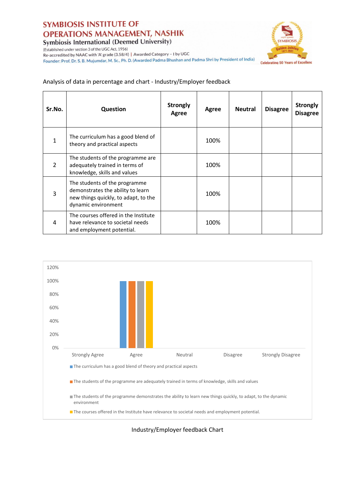(Established under section 3 of the UGC Act, 1956)



Re-accredited by NAAC with 'A' grade (3.58/4) | Awarded Category - I by UGC Founder: Prof. Dr. S. B. Mujumdar, M. Sc., Ph. D. (Awarded Padma Bhushan and Padma Shri by President of India)

#### Analysis of data in percentage and chart - Industry/Employer feedback

| Sr.No.         | <b>Question</b>                                                                                                                   | <b>Strongly</b><br>Agree | Agree | <b>Neutral</b> | <b>Disagree</b> | <b>Strongly</b><br><b>Disagree</b> |
|----------------|-----------------------------------------------------------------------------------------------------------------------------------|--------------------------|-------|----------------|-----------------|------------------------------------|
| 1              | The curriculum has a good blend of<br>theory and practical aspects                                                                |                          | 100%  |                |                 |                                    |
| $\overline{2}$ | The students of the programme are<br>adequately trained in terms of<br>knowledge, skills and values                               |                          | 100%  |                |                 |                                    |
| 3              | The students of the programme<br>demonstrates the ability to learn<br>new things quickly, to adapt, to the<br>dynamic environment |                          | 100%  |                |                 |                                    |
| 4              | The courses offered in the Institute<br>have relevance to societal needs<br>and employment potential.                             |                          | 100%  |                |                 |                                    |



Industry/Employer feedback Chart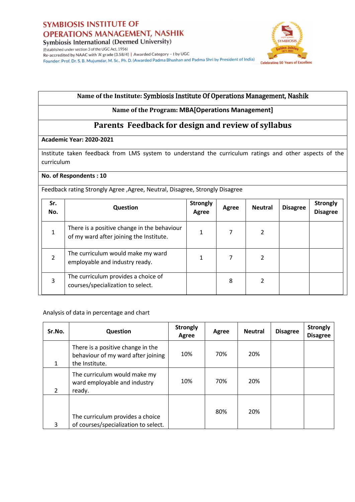



(Established under section 3 of the UGC Act, 1956) Re-accredited by NAAC with 'A' grade (3.58/4) | Awarded Category - I by UGC Founder: Prof. Dr. S. B. Mujumdar, M. Sc., Ph. D. (Awarded Padma Bhushan and Padma Shri by President of India)

### **Name of the Institute:** Symbiosis Institute Of Operations Management, Nashik

#### **Name of the Program: MBA[Operations Management]**

## **Parents Feedback for design and review of syllabus**

#### **Academic Year: 2020-2021**

Institute taken feedback from LMS system to understand the curriculum ratings and other aspects of the curriculum

#### **No. of Respondents : 10**

Feedback rating Strongly Agree, Agree, Neutral, Disagree, Strongly Disagree

| Sr.<br>No. | Question                                                                               | <b>Strongly</b><br>Agree | Agree | <b>Neutral</b> | <b>Disagree</b> | <b>Strongly</b><br><b>Disagree</b> |
|------------|----------------------------------------------------------------------------------------|--------------------------|-------|----------------|-----------------|------------------------------------|
|            | There is a positive change in the behaviour<br>of my ward after joining the Institute. |                          |       | 2              |                 |                                    |
|            | The curriculum would make my ward<br>employable and industry ready.                    |                          |       | 2              |                 |                                    |
| 3          | The curriculum provides a choice of<br>courses/specialization to select.               |                          | 8     | 2              |                 |                                    |

Analysis of data in percentage and chart

| Sr.No. | <b>Question</b>                                                                           | <b>Strongly</b><br>Agree | Agree | <b>Neutral</b> | <b>Disagree</b> | <b>Strongly</b><br><b>Disagree</b> |
|--------|-------------------------------------------------------------------------------------------|--------------------------|-------|----------------|-----------------|------------------------------------|
|        | There is a positive change in the<br>behaviour of my ward after joining<br>the Institute. | 10%                      | 70%   | 20%            |                 |                                    |
| 2      | The curriculum would make my<br>ward employable and industry<br>ready.                    | 10%                      | 70%   | 20%            |                 |                                    |
| 3      | The curriculum provides a choice<br>of courses/specialization to select.                  |                          | 80%   | 20%            |                 |                                    |